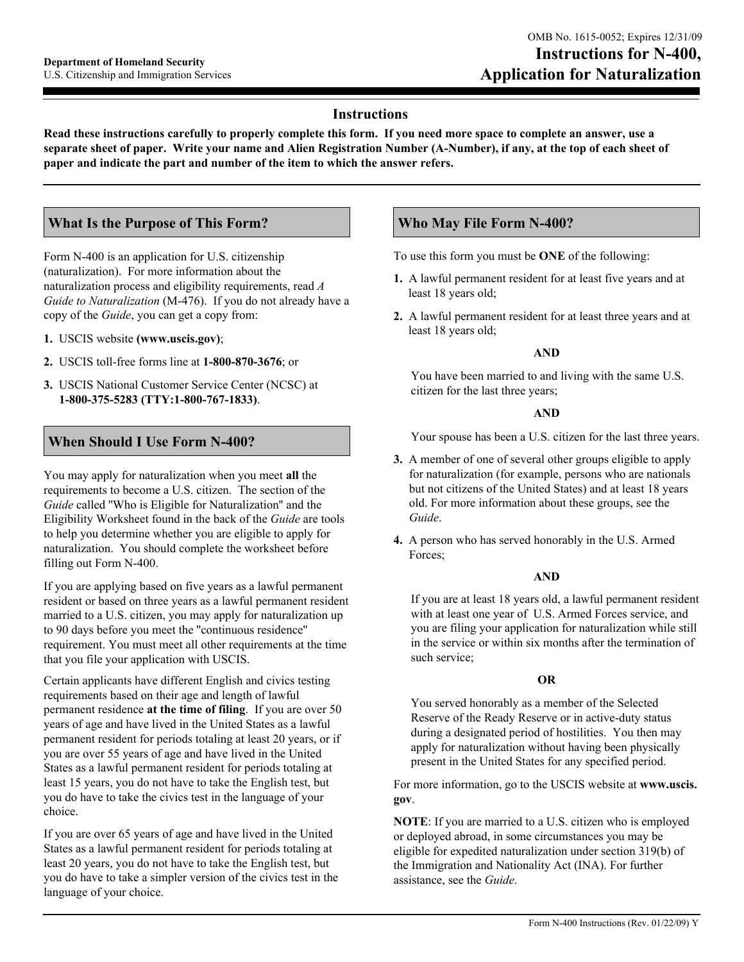# **Instructions**

**Read these instructions carefully to properly complete this form. If you need more space to complete an answer, use a separate sheet of paper. Write your name and Alien Registration Number (A-Number), if any, at the top of each sheet of paper and indicate the part and number of the item to which the answer refers.**

# **What Is the Purpose of This Form?**

Form N-400 is an application for U.S. citizenship (naturalization). For more information about the naturalization process and eligibility requirements, read *A Guide to Naturalization* (M-476). If you do not already have a copy of the *Guide*, you can get a copy from:

- **1.** USCIS website **(www.uscis.gov)**;
- **2.** USCIS toll-free forms line at **1-800-870-3676**; or
- **3.** USCIS National Customer Service Center (NCSC) at **1-800-375-5283 (TTY:1-800-767-1833)**.

# **When Should I Use Form N-400?**

You may apply for naturalization when you meet **all** the requirements to become a U.S. citizen. The section of the *Guide* called ''Who is Eligible for Naturalization'' and the Eligibility Worksheet found in the back of the *Guide* are tools to help you determine whether you are eligible to apply for naturalization. You should complete the worksheet before filling out Form N-400.

If you are applying based on five years as a lawful permanent resident or based on three years as a lawful permanent resident married to a U.S. citizen, you may apply for naturalization up to 90 days before you meet the ''continuous residence'' requirement. You must meet all other requirements at the time that you file your application with USCIS.

Certain applicants have different English and civics testing requirements based on their age and length of lawful permanent residence **at the time of filing**. If you are over 50 years of age and have lived in the United States as a lawful permanent resident for periods totaling at least 20 years, or if you are over 55 years of age and have lived in the United States as a lawful permanent resident for periods totaling at least 15 years, you do not have to take the English test, but you do have to take the civics test in the language of your choice.

If you are over 65 years of age and have lived in the United States as a lawful permanent resident for periods totaling at least 20 years, you do not have to take the English test, but you do have to take a simpler version of the civics test in the language of your choice.

# **Who May File Form N-400?**

To use this form you must be **ONE** of the following:

- **1.** A lawful permanent resident for at least five years and at least 18 years old;
- **2.** A lawful permanent resident for at least three years and at least 18 years old;

## **AND**

You have been married to and living with the same U.S. citizen for the last three years;

# **AND**

Your spouse has been a U.S. citizen for the last three years.

- **3.** A member of one of several other groups eligible to apply for naturalization (for example, persons who are nationals but not citizens of the United States) and at least 18 years old. For more information about these groups, see the *Guide*.
- **4.** A person who has served honorably in the U.S. Armed Forces:

# **AND**

If you are at least 18 years old, a lawful permanent resident with at least one year of U.S. Armed Forces service, and you are filing your application for naturalization while still in the service or within six months after the termination of such service;

### **OR**

You served honorably as a member of the Selected Reserve of the Ready Reserve or in active-duty status during a designated period of hostilities. You then may apply for naturalization without having been physically present in the United States for any specified period.

For more information, go to the USCIS website at **www.uscis. gov**.

**NOTE**: If you are married to a U.S. citizen who is employed or deployed abroad, in some circumstances you may be eligible for expedited naturalization under section 319(b) of the Immigration and Nationality Act (INA). For further assistance, see the *Guide*.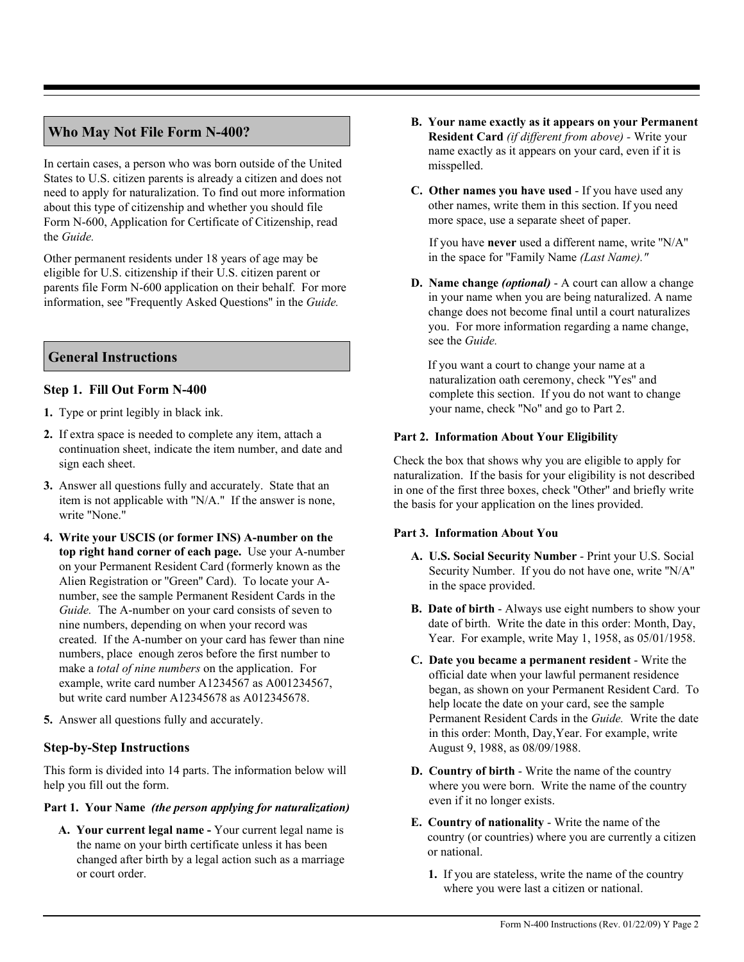# **Who May Not File Form N-400?**

In certain cases, a person who was born outside of the United States to U.S. citizen parents is already a citizen and does not need to apply for naturalization. To find out more information about this type of citizenship and whether you should file Form N-600, Application for Certificate of Citizenship, read the *Guide.*

Other permanent residents under 18 years of age may be eligible for U.S. citizenship if their U.S. citizen parent or parents file Form N-600 application on their behalf. For more information, see ''Frequently Asked Questions'' in the *Guide.*

# **General Instructions**

# **Step 1. Fill Out Form N-400**

- **1.** Type or print legibly in black ink.
- **2.** If extra space is needed to complete any item, attach a continuation sheet, indicate the item number, and date and sign each sheet.
- **3.** Answer all questions fully and accurately. State that an item is not applicable with "N/A." If the answer is none, write "None."
- **4. Write your USCIS (or former INS) A-number on the top right hand corner of each page.** Use your A-number on your Permanent Resident Card (formerly known as the Alien Registration or ''Green'' Card). To locate your Anumber, see the sample Permanent Resident Cards in the *Guide.* The A-number on your card consists of seven to nine numbers, depending on when your record was created. If the A-number on your card has fewer than nine numbers, place enough zeros before the first number to make a *total of nine numbers* on the application. For example, write card number A1234567 as A001234567, but write card number A12345678 as A012345678.
- **5.** Answer all questions fully and accurately.

### **Step-by-Step Instructions**

This form is divided into 14 parts. The information below will help you fill out the form.

#### **Part 1. Your Name** *(the person applying for naturalization)*

**A. Your current legal name -** Your current legal name is the name on your birth certificate unless it has been changed after birth by a legal action such as a marriage or court order.

- **B. Your name exactly as it appears on your Permanent Resident Card** *(if different from above) -* Write your name exactly as it appears on your card, even if it is misspelled.
- **C. Other names you have used** If you have used any other names, write them in this section. If you need more space, use a separate sheet of paper.

 If you have **never** used a different name, write ''N/A'' in the space for ''Family Name *(Last Name)."*

**D. Name change** *(optional)* - A court can allow a change in your name when you are being naturalized. A name change does not become final until a court naturalizes you. For more information regarding a name change, see the *Guide.*

 If you want a court to change your name at a naturalization oath ceremony, check ''Yes'' and complete this section. If you do not want to change your name, check ''No'' and go to Part 2.

## **Part 2. Information About Your Eligibility**

Check the box that shows why you are eligible to apply for naturalization. If the basis for your eligibility is not described in one of the first three boxes, check ''Other'' and briefly write the basis for your application on the lines provided.

### **Part 3. Information About You**

- **A. U.S. Social Security Number** Print your U.S. Social Security Number. If you do not have one, write ''N/A'' in the space provided.
- **B. Date of birth** Always use eight numbers to show your date of birth. Write the date in this order: Month, Day, Year. For example, write May 1, 1958, as 05/01/1958.
- **C. Date you became a permanent resident** Write the official date when your lawful permanent residence began, as shown on your Permanent Resident Card. To help locate the date on your card, see the sample Permanent Resident Cards in the *Guide.* Write the date in this order: Month, Day,Year. For example, write August 9, 1988, as 08/09/1988.
- **D. Country of birth** Write the name of the country where you were born. Write the name of the country even if it no longer exists.
- **E. Country of nationality** Write the name of the country (or countries) where you are currently a citizen or national.
	- **1.** If you are stateless, write the name of the country where you were last a citizen or national.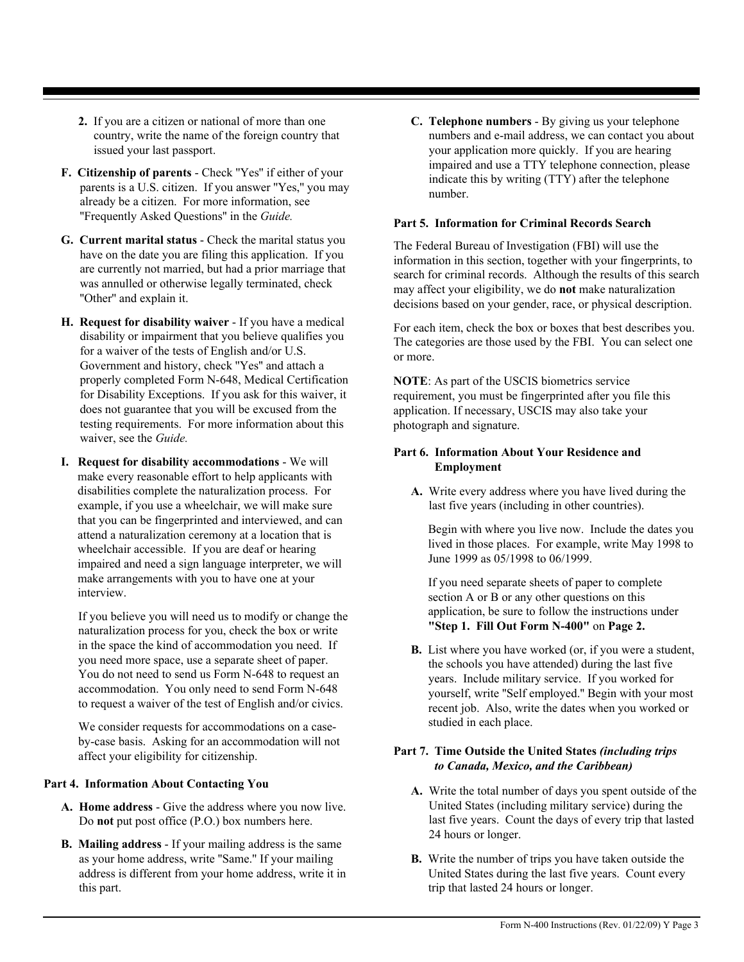- **2.** If you are a citizen or national of more than one country, write the name of the foreign country that issued your last passport.
- **F. Citizenship of parents** Check ''Yes'' if either of your parents is a U.S. citizen. If you answer ''Yes,'' you may already be a citizen. For more information, see ''Frequently Asked Questions'' in the *Guide.*
- **G. Current marital status** Check the marital status you have on the date you are filing this application. If you are currently not married, but had a prior marriage that was annulled or otherwise legally terminated, check ''Other'' and explain it.
- **H. Request for disability waiver** If you have a medical disability or impairment that you believe qualifies you for a waiver of the tests of English and/or U.S. Government and history, check ''Yes'' and attach a properly completed Form N-648, Medical Certification for Disability Exceptions. If you ask for this waiver, it does not guarantee that you will be excused from the testing requirements. For more information about this waiver, see the *Guide.*
- **I. Request for disability accommodations** We will make every reasonable effort to help applicants with disabilities complete the naturalization process. For example, if you use a wheelchair, we will make sure that you can be fingerprinted and interviewed, and can attend a naturalization ceremony at a location that is wheelchair accessible. If you are deaf or hearing impaired and need a sign language interpreter, we will make arrangements with you to have one at your interview.

If you believe you will need us to modify or change the naturalization process for you, check the box or write in the space the kind of accommodation you need. If you need more space, use a separate sheet of paper. You do not need to send us Form N-648 to request an accommodation. You only need to send Form N-648 to request a waiver of the test of English and/or civics.

We consider requests for accommodations on a caseby-case basis. Asking for an accommodation will not affect your eligibility for citizenship.

### **Part 4. Information About Contacting You**

- **A. Home address** Give the address where you now live. Do **not** put post office (P.O.) box numbers here.
- **B. Mailing address** If your mailing address is the same as your home address, write ''Same.'' If your mailing address is different from your home address, write it in this part.

**C. Telephone numbers** - By giving us your telephone numbers and e-mail address, we can contact you about your application more quickly. If you are hearing impaired and use a TTY telephone connection, please indicate this by writing (TTY) after the telephone number.

#### **Part 5. Information for Criminal Records Search**

The Federal Bureau of Investigation (FBI) will use the information in this section, together with your fingerprints, to search for criminal records. Although the results of this search may affect your eligibility, we do **not** make naturalization decisions based on your gender, race, or physical description.

For each item, check the box or boxes that best describes you. The categories are those used by the FBI. You can select one or more.

**NOTE**: As part of the USCIS biometrics service requirement, you must be fingerprinted after you file this application. If necessary, USCIS may also take your photograph and signature.

### **Part 6. Information About Your Residence and Employment**

**A.** Write every address where you have lived during the last five years (including in other countries).

Begin with where you live now. Include the dates you lived in those places. For example, write May 1998 to June 1999 as 05/1998 to 06/1999.

If you need separate sheets of paper to complete section A or B or any other questions on this application, be sure to follow the instructions under **"Step 1. Fill Out Form N-400"** on **Page 2.**

**B.** List where you have worked (or, if you were a student, the schools you have attended) during the last five years. Include military service. If you worked for yourself, write ''Self employed.'' Begin with your most recent job. Also, write the dates when you worked or studied in each place.

### **Part 7. Time Outside the United States** *(including trips to Canada, Mexico, and the Caribbean)*

- **A.** Write the total number of days you spent outside of the United States (including military service) during the last five years. Count the days of every trip that lasted 24 hours or longer.
- **B.** Write the number of trips you have taken outside the United States during the last five years. Count every trip that lasted 24 hours or longer.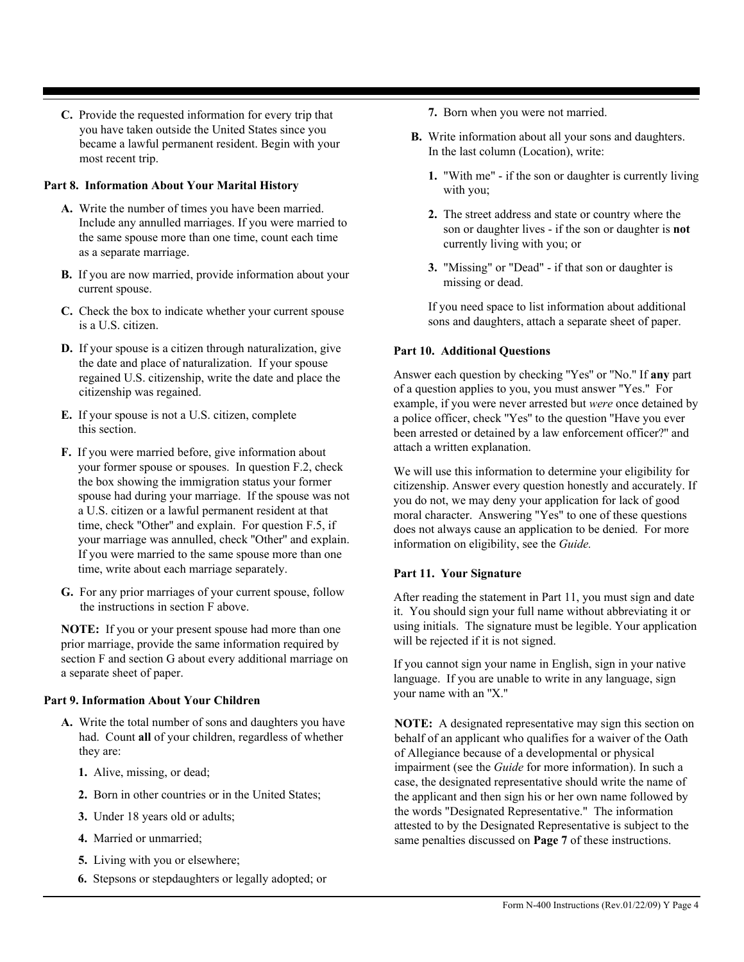**C.** Provide the requested information for every trip that you have taken outside the United States since you became a lawful permanent resident. Begin with your most recent trip.

#### **Part 8. Information About Your Marital History**

- **A.** Write the number of times you have been married. Include any annulled marriages. If you were married to the same spouse more than one time, count each time as a separate marriage.
- **B.** If you are now married, provide information about your current spouse.
- **C.** Check the box to indicate whether your current spouse is a U.S. citizen.
- **D.** If your spouse is a citizen through naturalization, give the date and place of naturalization. If your spouse regained U.S. citizenship, write the date and place the citizenship was regained.
- **E.** If your spouse is not a U.S. citizen, complete this section.
- **F.** If you were married before, give information about your former spouse or spouses. In question F.2, check the box showing the immigration status your former spouse had during your marriage. If the spouse was not a U.S. citizen or a lawful permanent resident at that time, check ''Other'' and explain. For question F.5, if your marriage was annulled, check ''Other'' and explain. If you were married to the same spouse more than one time, write about each marriage separately.
- **G.** For any prior marriages of your current spouse, follow the instructions in section F above.

**NOTE:** If you or your present spouse had more than one prior marriage, provide the same information required by section F and section G about every additional marriage on a separate sheet of paper.

#### **Part 9. Information About Your Children**

- **A.** Write the total number of sons and daughters you have had. Count **all** of your children, regardless of whether they are:
	- **1.** Alive, missing, or dead;
	- **2.** Born in other countries or in the United States;
	- **3.** Under 18 years old or adults;
	- **4.** Married or unmarried;
	- **5.** Living with you or elsewhere;
	- **6.** Stepsons or stepdaughters or legally adopted; or
- **7.** Born when you were not married.
- **B.** Write information about all your sons and daughters. In the last column (Location), write:
	- **1.** "With me" if the son or daughter is currently living with you;
	- **2.** The street address and state or country where the son or daughter lives - if the son or daughter is **not** currently living with you; or
	- **3.** "Missing" or "Dead" if that son or daughter is missing or dead.

If you need space to list information about additional sons and daughters, attach a separate sheet of paper.

### **Part 10. Additional Questions**

Answer each question by checking ''Yes'' or ''No.'' If **any** part of a question applies to you, you must answer ''Yes.'' For example, if you were never arrested but *were* once detained by a police officer, check ''Yes'' to the question ''Have you ever been arrested or detained by a law enforcement officer?'' and attach a written explanation.

We will use this information to determine your eligibility for citizenship. Answer every question honestly and accurately. If you do not, we may deny your application for lack of good moral character. Answering "Yes" to one of these questions does not always cause an application to be denied. For more information on eligibility, see the *Guide.*

### **Part 11. Your Signature**

After reading the statement in Part 11, you must sign and date it. You should sign your full name without abbreviating it or using initials. The signature must be legible. Your application will be rejected if it is not signed.

If you cannot sign your name in English, sign in your native language. If you are unable to write in any language, sign your name with an ''X.''

**NOTE:** A designated representative may sign this section on behalf of an applicant who qualifies for a waiver of the Oath of Allegiance because of a developmental or physical impairment (see the *Guide* for more information). In such a case, the designated representative should write the name of the applicant and then sign his or her own name followed by the words "Designated Representative." The information attested to by the Designated Representative is subject to the same penalties discussed on **Page 7** of these instructions.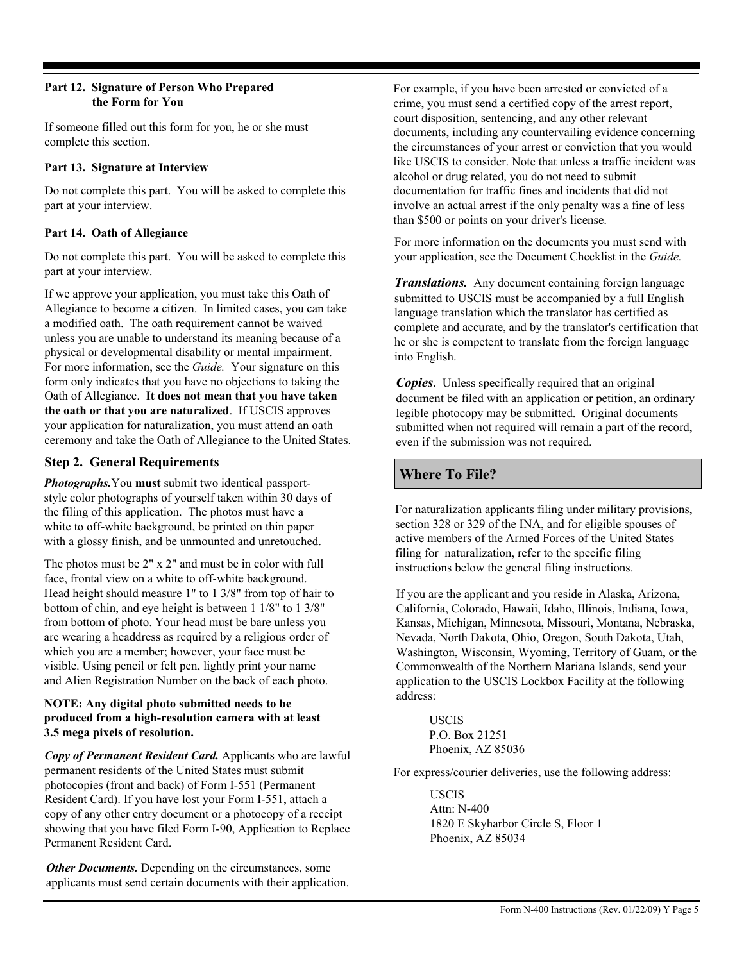## **Part 12. Signature of Person Who Prepared the Form for You**

If someone filled out this form for you, he or she must complete this section.

## **Part 13. Signature at Interview**

Do not complete this part. You will be asked to complete this part at your interview.

## **Part 14. Oath of Allegiance**

Do not complete this part. You will be asked to complete this part at your interview.

If we approve your application, you must take this Oath of Allegiance to become a citizen. In limited cases, you can take a modified oath. The oath requirement cannot be waived unless you are unable to understand its meaning because of a physical or developmental disability or mental impairment. For more information, see the *Guide.* Your signature on this form only indicates that you have no objections to taking the Oath of Allegiance. **It does not mean that you have taken the oath or that you are naturalized**. If USCIS approves your application for naturalization, you must attend an oath ceremony and take the Oath of Allegiance to the United States.

# **Step 2. General Requirements**

*Photographs.*You **must** submit two identical passportstyle color photographs of yourself taken within 30 days of the filing of this application. The photos must have a white to off-white background, be printed on thin paper with a glossy finish, and be unmounted and unretouched.

The photos must be 2" x 2" and must be in color with full face, frontal view on a white to off-white background. Head height should measure 1" to 1 3/8" from top of hair to bottom of chin, and eye height is between 1 1/8" to 1 3/8" from bottom of photo. Your head must be bare unless you are wearing a headdress as required by a religious order of which you are a member; however, your face must be visible. Using pencil or felt pen, lightly print your name and Alien Registration Number on the back of each photo.

## **NOTE: Any digital photo submitted needs to be produced from a high-resolution camera with at least 3.5 mega pixels of resolution.**

*Copy of Permanent Resident Card.* Applicants who are lawful permanent residents of the United States must submit photocopies (front and back) of Form I-551 (Permanent Resident Card). If you have lost your Form I-551, attach a copy of any other entry document or a photocopy of a receipt showing that you have filed Form I-90, Application to Replace Permanent Resident Card.

**Other Documents.** Depending on the circumstances, some applicants must send certain documents with their application.

For example, if you have been arrested or convicted of a crime, you must send a certified copy of the arrest report, court disposition, sentencing, and any other relevant documents, including any countervailing evidence concerning the circumstances of your arrest or conviction that you would like USCIS to consider. Note that unless a traffic incident was alcohol or drug related, you do not need to submit documentation for traffic fines and incidents that did not involve an actual arrest if the only penalty was a fine of less than \$500 or points on your driver's license.

For more information on the documents you must send with your application, see the Document Checklist in the *Guide.*

*Translations.* Any document containing foreign language submitted to USCIS must be accompanied by a full English language translation which the translator has certified as complete and accurate, and by the translator's certification that he or she is competent to translate from the foreign language into English.

*Copies*. Unless specifically required that an original document be filed with an application or petition, an ordinary legible photocopy may be submitted. Original documents submitted when not required will remain a part of the record, even if the submission was not required.

# **Where To File?**

For naturalization applicants filing under military provisions, section 328 or 329 of the INA, and for eligible spouses of active members of the Armed Forces of the United States filing for naturalization, refer to the specific filing instructions below the general filing instructions.

If you are the applicant and you reside in Alaska, Arizona, California, Colorado, Hawaii, Idaho, Illinois, Indiana, Iowa, Kansas, Michigan, Minnesota, Missouri, Montana, Nebraska, Nevada, North Dakota, Ohio, Oregon, South Dakota, Utah, Washington, Wisconsin, Wyoming, Territory of Guam, or the Commonwealth of the Northern Mariana Islands, send your application to the USCIS Lockbox Facility at the following address:

> USCIS P.O. Box 21251 Phoenix, AZ 85036

For express/courier deliveries, use the following address:

USCIS Attn: N-400 1820 E Skyharbor Circle S, Floor 1 Phoenix, AZ 85034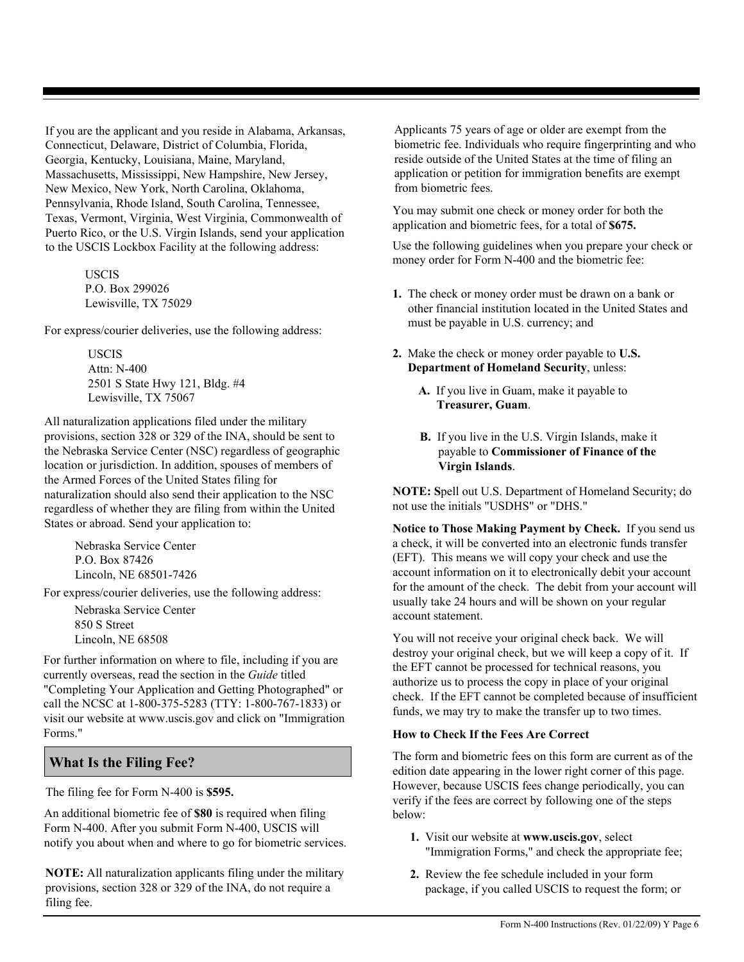If you are the applicant and you reside in Alabama, Arkansas, Connecticut, Delaware, District of Columbia, Florida, Georgia, Kentucky, Louisiana, Maine, Maryland, Massachusetts, Mississippi, New Hampshire, New Jersey, New Mexico, New York, North Carolina, Oklahoma, Pennsylvania, Rhode Island, South Carolina, Tennessee, Texas, Vermont, Virginia, West Virginia, Commonwealth of Puerto Rico, or the U.S. Virgin Islands, send your application to the USCIS Lockbox Facility at the following address:

> USCIS P.O. Box 299026 Lewisville, TX 75029

For express/courier deliveries, use the following address:

USCIS Attn: N-400 2501 S State Hwy 121, Bldg. #4 Lewisville, TX 75067

All naturalization applications filed under the military provisions, section 328 or 329 of the INA, should be sent to the Nebraska Service Center (NSC) regardless of geographic location or jurisdiction. In addition, spouses of members of the Armed Forces of the United States filing for naturalization should also send their application to the NSC regardless of whether they are filing from within the United States or abroad. Send your application to:

Nebraska Service Center P.O. Box 87426 Lincoln, NE 68501-7426

For express/courier deliveries, use the following address:

Nebraska Service Center 850 S Street Lincoln, NE 68508

For further information on where to file, including if you are currently overseas, read the section in the *Guide* titled "Completing Your Application and Getting Photographed" or call the NCSC at 1-800-375-5283 (TTY: 1-800-767-1833) or visit our website at www.uscis.gov and click on "Immigration Forms."

# **What Is the Filing Fee?**

The filing fee for Form N-400 is **\$595.**

An additional biometric fee of **\$80** is required when filing Form N-400. After you submit Form N-400, USCIS will notify you about when and where to go for biometric services.

**NOTE:** All naturalization applicants filing under the military provisions, section 328 or 329 of the INA, do not require a filing fee.

Applicants 75 years of age or older are exempt from the biometric fee. Individuals who require fingerprinting and who reside outside of the United States at the time of filing an application or petition for immigration benefits are exempt from biometric fees.

You may submit one check or money order for both the application and biometric fees, for a total of **\$675.**

Use the following guidelines when you prepare your check or money order for Form N-400 and the biometric fee:

- **1.** The check or money order must be drawn on a bank or other financial institution located in the United States and must be payable in U.S. currency; and
- **2.** Make the check or money order payable to **U.S. Department of Homeland Security**, unless:
	- **A.** If you live in Guam, make it payable to **Treasurer, Guam**.
	- **B.** If you live in the U.S. Virgin Islands, make it payable to **Commissioner of Finance of the Virgin Islands**.

**NOTE: S**pell out U.S. Department of Homeland Security; do not use the initials "USDHS" or "DHS."

**Notice to Those Making Payment by Check.** If you send us a check, it will be converted into an electronic funds transfer (EFT). This means we will copy your check and use the account information on it to electronically debit your account for the amount of the check. The debit from your account will usually take 24 hours and will be shown on your regular account statement.

You will not receive your original check back. We will destroy your original check, but we will keep a copy of it. If the EFT cannot be processed for technical reasons, you authorize us to process the copy in place of your original check. If the EFT cannot be completed because of insufficient funds, we may try to make the transfer up to two times.

# **How to Check If the Fees Are Correct**

The form and biometric fees on this form are current as of the edition date appearing in the lower right corner of this page. However, because USCIS fees change periodically, you can verify if the fees are correct by following one of the steps below:

- **1.** Visit our website at **www.uscis.gov**, select "Immigration Forms," and check the appropriate fee;
- **2.** Review the fee schedule included in your form package, if you called USCIS to request the form; or